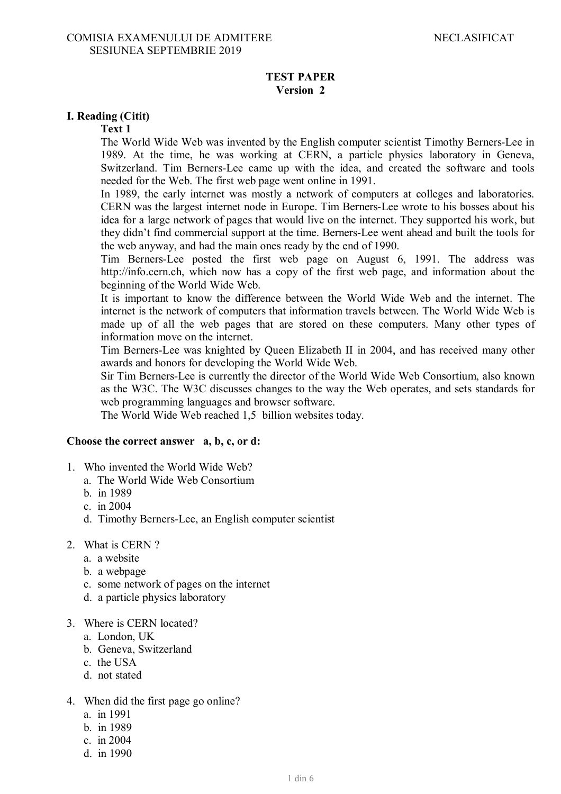## **TEST PAPER Version 2**

## **I. Reading (Citit)**

## **Text 1**

The World Wide Web was invented by the English computer scientist Timothy Berners-Lee in 1989. At the time, he was working at CERN, a particle physics laboratory in Geneva, Switzerland. Tim Berners-Lee came up with the idea, and created the software and tools needed for the Web. The first web page went online in 1991.

In 1989, the early internet was mostly a network of computers at colleges and laboratories. CERN was the largest internet node in Europe. Tim Berners-Lee wrote to his bosses about his idea for a large network of pages that would live on the internet. They supported his work, but they didn't find commercial support at the time. Berners-Lee went ahead and built the tools for the web anyway, and had the main ones ready by the end of 1990.

Tim Berners-Lee posted the first web page on August 6, 1991. The address was http://info.cern.ch, which now has a copy of the first web page, and information about the beginning of the World Wide Web.

It is important to know the difference between the World Wide Web and the internet. The internet is the network of computers that information travels between. The World Wide Web is made up of all the web pages that are stored on these computers. Many other types of information move on the internet.

Tim Berners-Lee was knighted by Queen Elizabeth II in 2004, and has received many other awards and honors for developing the World Wide Web.

Sir Tim Berners-Lee is currently the director of the World Wide Web Consortium, also known as the W3C. The W3C discusses changes to the way the Web operates, and sets standards for web programming languages and browser software.

The World Wide Web reached 1,5 billion websites today.

### **Choose the correct answer a, b, c, or d:**

- 1. Who invented the World Wide Web?
	- a. The World Wide Web Consortium
	- b. in 1989
	- c. in 2004
	- d. Timothy Berners-Lee, an English computer scientist
- 2. What is CERN ?
	- a. a website
	- b. a webpage
	- c. some network of pages on the internet
	- d. a particle physics laboratory
- 3. Where is CERN located?
	- a. London, UK
	- b. Geneva, Switzerland
	- c. the USA
	- d. not stated
- 4. When did the first page go online?
	- a. in 1991
	- b. in 1989
	- c. in 2004
	- d. in 1990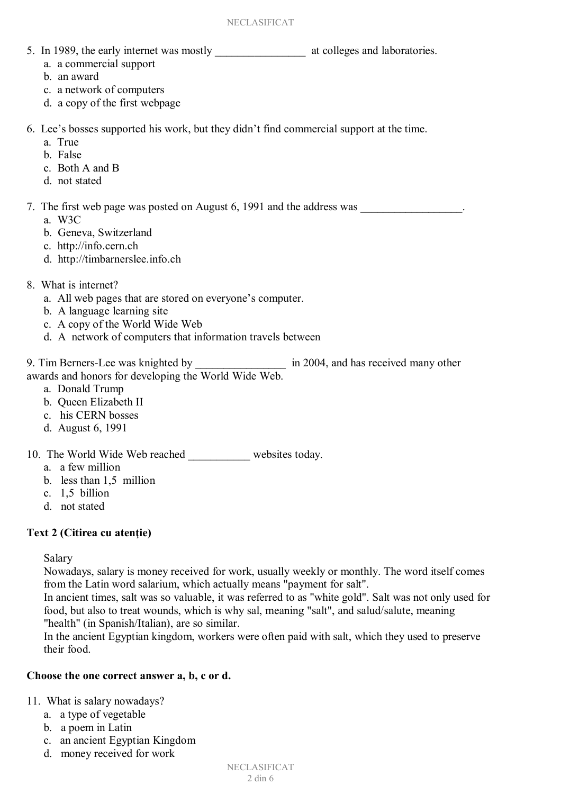- 5. In 1989, the early internet was mostly at colleges and laboratories.
	- a. a commercial support
	- b. an award
	- c. a network of computers
	- d. a copy of the first webpage
- 6. Lee's bosses supported his work, but they didn't find commercial support at the time.
	- a. True
	- b. False
	- c. Both A and B
	- d. not stated
- 7. The first web page was posted on August 6, 1991 and the address was
	- a. W3C
	- b. Geneva, Switzerland
	- c. http://info.cern.ch
	- d. http://timbarnerslee.info.ch
- 8. What is internet?
	- a. All web pages that are stored on everyone's computer.
	- b. A language learning site
	- c. A copy of the World Wide Web
	- d. A network of computers that information travels between

9. Tim Berners-Lee was knighted by \_\_\_\_\_\_\_\_\_\_\_\_\_\_\_\_\_\_\_ in 2004, and has received many other awards and honors for developing the World Wide Web.

- a. Donald Trump
- b. Queen Elizabeth II
- c. his CERN bosses
- d. August 6, 1991

10. The World Wide Web reached \_\_\_\_\_\_\_\_\_\_\_ websites today.

- a. a few million
- b. less than 1,5 million
- c. 1,5 billion
- d. not stated

# Text 2 (Citirea cu atentie)

Salary

Nowadays, salary is money received for work, usually weekly or monthly. The word itself comes from the Latin word salarium, which actually means "payment for salt".

In ancient times, salt was so valuable, it was referred to as "white gold". Salt was not only used for food, but also to treat wounds, which is why sal, meaning "salt", and salud/salute, meaning "health" (in Spanish/Italian), are so similar.

In the ancient Egyptian kingdom, workers were often paid with salt, which they used to preserve their food.

# **Choose the one correct answer a, b, c or d.**

11. What is salary nowadays?

- a. a type of vegetable
- b. a poem in Latin
- c. an ancient Egyptian Kingdom
- d. money received for work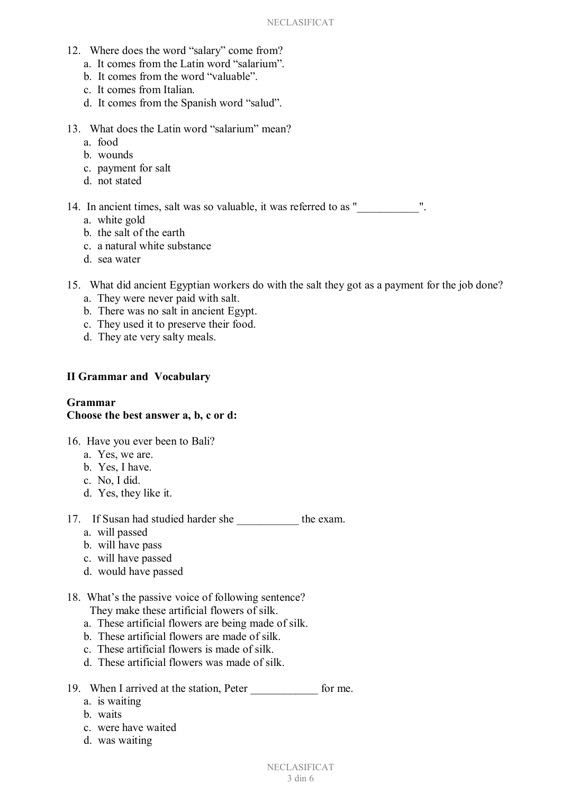- 12. Where does the word "salary" come from?
	- a. It comes from the Latin word "salarium".
	- b. It comes from the word "valuable".
	- c. It comes from Italian.
	- d. It comes from the Spanish word "salud".
- 13. What does the Latin word "salarium" mean?
	- a. food
	- b. wounds
	- c. payment for salt
	- d. not stated

14. In ancient times, salt was so valuable, it was referred to as "...

- a. white gold
- b. the salt of the earth
- c. a natural white substance
- d. sea water
- 15. What did ancient Egyptian workers do with the salt they got as a payment for the job done?
	- a. They were never paid with salt.
	- b. There was no salt in ancient Egypt.
	- c. They used it to preserve their food.
	- d. They ate very salty meals.

### **II Grammar and Vocabulary**

### **Grammar Choose the best answer a, b, c or d:**

- 16. Have you ever been to Bali?
	- a. Yes, we are.
	- b. Yes, I have.
	- c. No, I did.
	- d. Yes, they like it.
- 17. If Susan had studied harder she \_\_\_\_\_\_\_\_\_\_\_ the exam.
	- a. will passed
	- b. will have pass
	- c. will have passed
	- d. would have passed
- 18. What's the passive voice of following sentence?

They make these artificial flowers of silk.

- a. These artificial flowers are being made of silk.
- b. These artificial flowers are made of silk.
- c. These artificial flowers is made of silk.
- d. These artificial flowers was made of silk.
- 19. When I arrived at the station, Peter for me.
	- a. is waiting
	- b. waits
	- c. were have waited
	- d. was waiting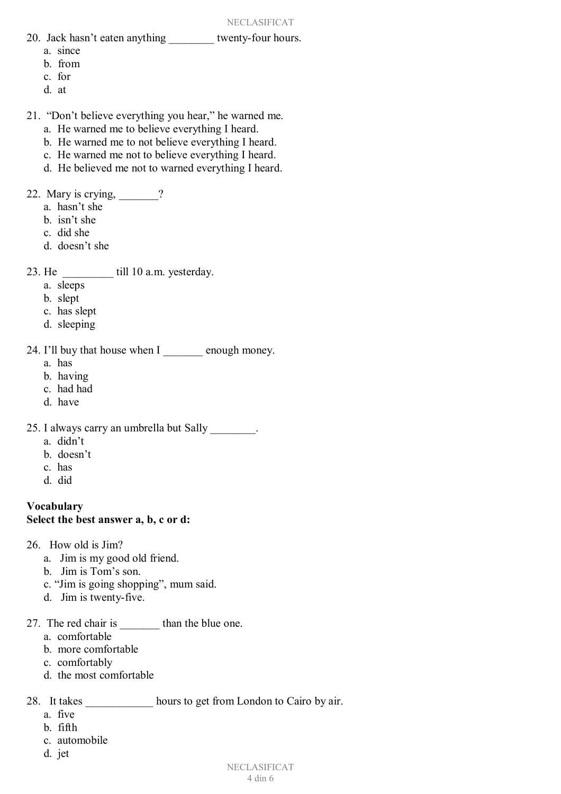- 20. Jack hasn't eaten anything twenty-four hours.
	- a. since
	- b. from
	- c. for
	- d. at
- 21. "Don't believe everything you hear," he warned me.
	- a. He warned me to believe everything I heard.
	- b. He warned me to not believe everything I heard.
	- c. He warned me not to believe everything I heard.
	- d. He believed me not to warned everything I heard.
- 22. Mary is crying, 22.
	- a. hasn't she
	- b. isn't she
	- c. did she
	- d. doesn't she
- 23. He \_\_\_\_\_\_\_\_\_ till 10 a.m. yesterday.
	- a. sleeps
	- b. slept
	- c. has slept
	- d. sleeping
- 24. I'll buy that house when I can enough money.
	- a. has
	- b. having
	- c. had had
	- d. have
- 25. I always carry an umbrella but Sally \_\_\_\_\_\_\_\_.
	- a. didn't
	- b. doesn't
	- c. has
	- d. did

## **Vocabulary Select the best answer a, b, c or d:**

- 26. How old is Jim?
	- a. Jim is my good old friend.
	- b. Jim is Tom's son.
	- c. "Jim is going shopping", mum said.
	- d. Jim is twenty-five.
- 27. The red chair is than the blue one.
	- a. comfortable
	- b. more comfortable
	- c. comfortably
	- d. the most comfortable

28. It takes hours to get from London to Cairo by air.

- a. five
- b. fifth
- c. automobile
- d. jet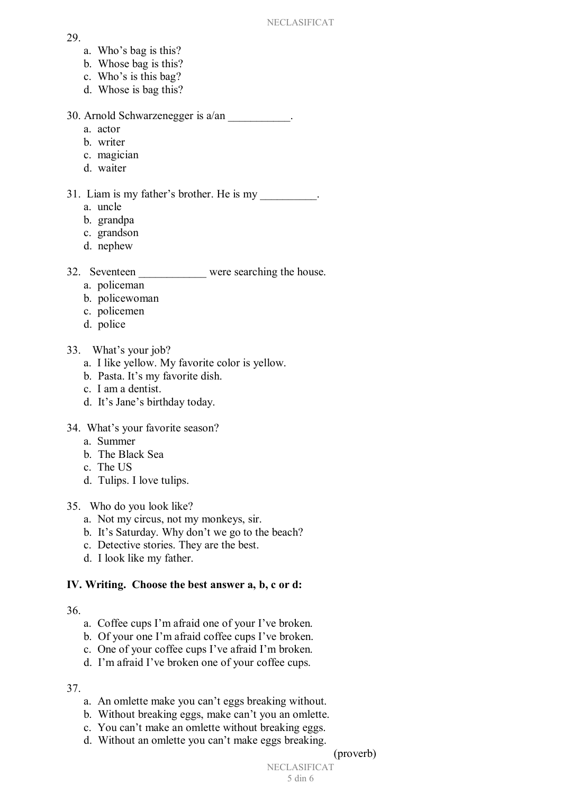#### 29.

- a. Who's bag is this?
- b. Whose bag is this?
- c. Who's is this bag?
- d. Whose is bag this?

30. Arnold Schwarzenegger is a/an \_\_\_\_\_\_\_\_\_\_\_.

- a. actor
- b. writer
- c. magician
- d. waiter
- 31. Liam is my father's brother. He is my
	- a. uncle
	- b. grandpa
	- c. grandson
	- d. nephew

32. Seventeen were searching the house.

- a. policeman
- b. policewoman
- c. policemen
- d. police
- 33. What's your job?
	- a. I like yellow. My favorite color is yellow.
	- b. Pasta. It's my favorite dish.
	- c. I am a dentist.
	- d. It's Jane's birthday today.
- 34. What's your favorite season?
	- a. Summer
	- b. The Black Sea
	- c. The US
	- d. Tulips. I love tulips.
- 35. Who do you look like?
	- a. Not my circus, not my monkeys, sir.
	- b. It's Saturday. Why don't we go to the beach?
	- c. Detective stories. They are the best.
	- d. I look like my father.

# **IV. Writing. Choose the best answer a, b, c or d:**

# 36.

- a. Coffee cups I'm afraid one of your I've broken.
- b. Of your one I'm afraid coffee cups I've broken.
- c. One of your coffee cups I've afraid I'm broken.
- d. I'm afraid I've broken one of your coffee cups.

# 37.

- a. An omlette make you can't eggs breaking without.
- b. Without breaking eggs, make can't you an omlette.
- c. You can't make an omlette without breaking eggs.
- d. Without an omlette you can't make eggs breaking.

(proverb)